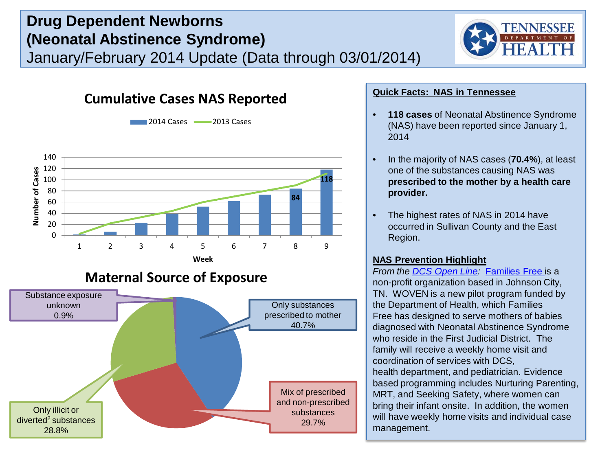# **Drug Dependent Newborns (Neonatal Abstinence Syndrome)** January/February 2014 Update (Data through 03/01/2014)



## **Cumulative Cases NAS Reported**



Only illicit or diverted2 substances 28.8%

**2014 Cases 2013 Cases** 

### **Quick Facts: NAS in Tennessee**

- **118 cases** of Neonatal Abstinence Syndrome (NAS) have been reported since January 1, 2014
- In the majority of NAS cases (**70.4%**), at least one of the substances causing NAS was **prescribed to the mother by a health care provider.**
- The highest rates of NAS in 2014 have occurred in Sullivan County and the East Region.

## **NAS Prevention Highlight**

Mix of prescribed and non-prescribed substances 29.7%

*From the [DCS Open Line](http://dcsopenline.tumblr.com/):* [Families Free i](http://www.familiesfree.com/index.html)s a non-profit organization based in Johnson City, TN. WOVEN is a new pilot program funded by the Department of Health, which Families Free has designed to serve mothers of babies diagnosed with Neonatal Abstinence Syndrome who reside in the First Judicial District. The family will receive a weekly home visit and coordination of services with DCS, health department, and pediatrician. Evidence based programming includes Nurturing Parenting, MRT, and Seeking Safety, where women can bring their infant onsite. In addition, the women will have weekly home visits and individual case management.